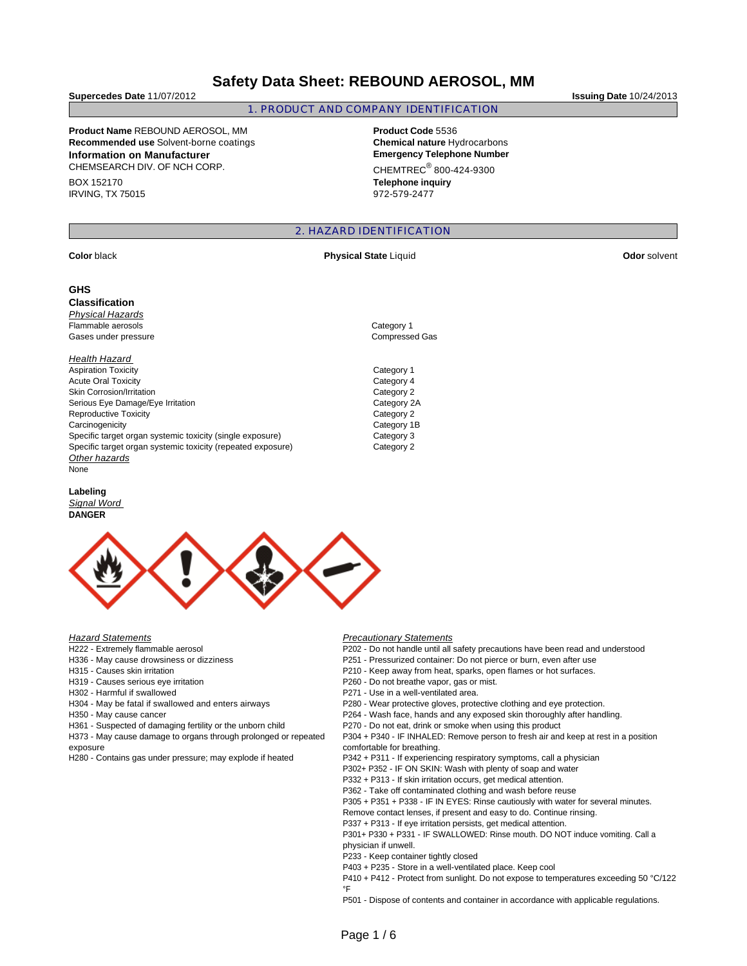# **Safety Data Sheet: REBOUND AEROSOL, MM**

**Supercedes Date** 11/07/2012 **Issuing Date** 10/24/2013

### 1. PRODUCT AND COMPANY IDENTIFICATION

**Product Name** REBOUND AEROSOL, MM **Product Code** 5536 **Recommended use** Solvent-borne coatings **Chemical nature** Hydrocarbons **Information on Manufacturer Emergency Telephone Number** CHEMSEARCH DIV. OF NCH CORP.

BOX 152170 IRVING, TX 75015  $CHEMTREC<sup>®</sup> 800-424-9300$ 

**Telephone inquiry** 972-579-2477

## 2. HAZARD IDENTIFICATION

#### **GHS**

**Classification**  Physical Hazards

Flammable aerosols **Category 1** Gases under pressure Compressed Gas

#### **Health Hazard**

Aspiration Toxicity **Category 1** Acute Oral Toxicity Category 4 Skin Corrosion/Irritation **Category 2** 2014 Serious Eye Damage/Eye Irritation Category 2A Reproductive Toxicity Category 2 Carcinogenicity Category 1B Specific target organ systemic toxicity (single exposure) Category 3 Specific target organ systemic toxicity (repeated exposure) Category 2 Other hazards None

#### **Labeling**

Signal Word **DANGER** 



#### **Hazard Statements**

- H222 Extremely flammable aerosol
- H336 May cause drowsiness or dizziness
- H315 Causes skin irritation
- H319 Causes serious eye irritation
- H302 Harmful if swallowed
- H304 May be fatal if swallowed and enters airways
- H350 May cause cancer
- H361 Suspected of damaging fertility or the unborn child
- H373 May cause damage to organs through prolonged or repeated exposure
- H280 Contains gas under pressure; may explode if heated

#### Precautionary Statements

- P202 Do not handle until all safety precautions have been read and understood
- P251 Pressurized container: Do not pierce or burn, even after use
- P210 Keep away from heat, sparks, open flames or hot surfaces.
- P260 Do not breathe vapor, gas or mist.
- P271 Use in a well-ventilated area.
- P280 Wear protective gloves, protective clothing and eye protection.
- P264 Wash face, hands and any exposed skin thoroughly after handling.
- P270 Do not eat, drink or smoke when using this product

P304 + P340 - IF INHALED: Remove person to fresh air and keep at rest in a position comfortable for breathing.

- P342 + P311 If experiencing respiratory symptoms, call a physician
- P302+ P352 IF ON SKIN: Wash with plenty of soap and water
- P332 + P313 If skin irritation occurs, get medical attention.
- P362 Take off contaminated clothing and wash before reuse
- P305 + P351 + P338 IF IN EYES: Rinse cautiously with water for several minutes.
- Remove contact lenses, if present and easy to do. Continue rinsing.
- P337 + P313 If eye irritation persists, get medical attention.

P301+ P330 + P331 - IF SWALLOWED: Rinse mouth. DO NOT induce vomiting. Call a physician if unwell.

- P233 Keep container tightly closed
- P403 + P235 Store in a well-ventilated place. Keep cool
- P410 + P412 Protect from sunlight. Do not expose to temperatures exceeding 50 °C/122 °F

P501 - Dispose of contents and container in accordance with applicable regulations.

**Color black Physical State Liquid <b>Physical State Color Color Solvent Odor solvent**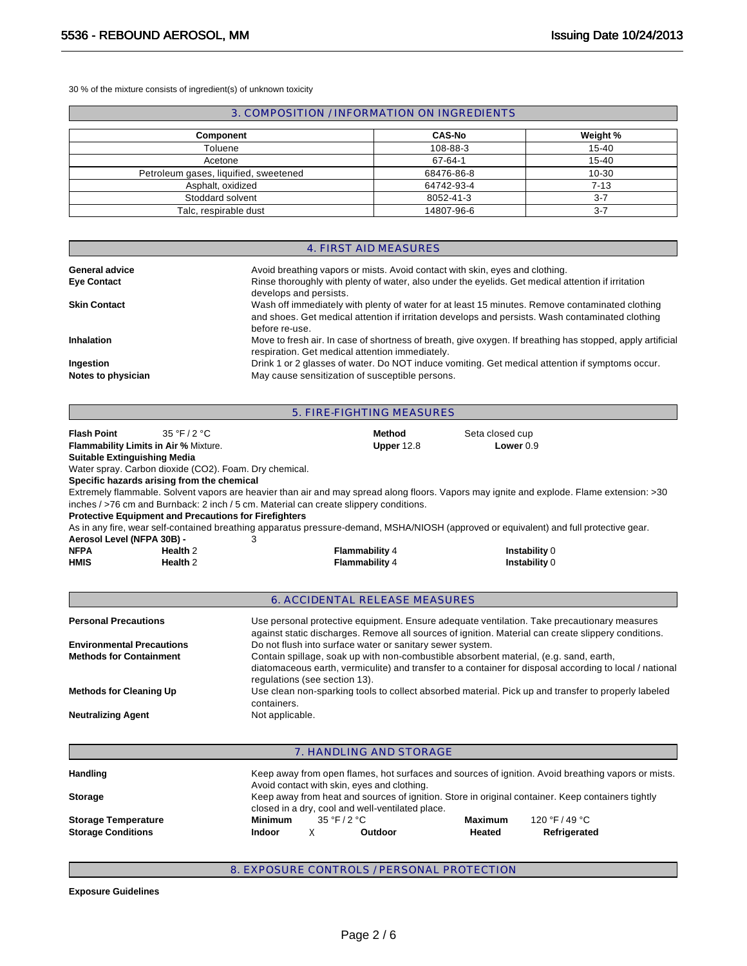30 % of the mixture consists of ingredient(s) of unknown toxicity

# 3. COMPOSITION / INFORMATION ON INGREDIENTS

| <b>Component</b>                      | <b>CAS-No</b> | Weight %  |
|---------------------------------------|---------------|-----------|
| Toluene                               | 108-88-3      | $15 - 40$ |
| Acetone                               | 67-64-1       | $15 - 40$ |
| Petroleum gases, liquified, sweetened | 68476-86-8    | $10 - 30$ |
| Asphalt, oxidized                     | 64742-93-4    | $7 - 13$  |
| Stoddard solvent                      | 8052-41-3     | $3 - 7$   |
| Talc, respirable dust                 | 14807-96-6    | $3-7$     |

|                                 | 4. FIRST AID MEASURES                                                                                                                                                                                                 |
|---------------------------------|-----------------------------------------------------------------------------------------------------------------------------------------------------------------------------------------------------------------------|
| General advice                  | Avoid breathing vapors or mists. Avoid contact with skin, eyes and clothing.                                                                                                                                          |
| <b>Eye Contact</b>              | Rinse thoroughly with plenty of water, also under the eyelids. Get medical attention if irritation<br>develops and persists.                                                                                          |
| <b>Skin Contact</b>             | Wash off immediately with plenty of water for at least 15 minutes. Remove contaminated clothing<br>and shoes. Get medical attention if irritation develops and persists. Wash contaminated clothing<br>before re-use. |
| <b>Inhalation</b>               | Move to fresh air. In case of shortness of breath, give oxygen. If breathing has stopped, apply artificial<br>respiration. Get medical attention immediately.                                                         |
| Ingestion<br>Notes to physician | Drink 1 or 2 glasses of water. Do NOT induce vomiting. Get medical attention if symptoms occur.<br>May cause sensitization of susceptible persons.                                                                    |

|                                     |                                                              | 5. FIRE-FIGHTING MEASURES                                                                                                                                                                                                                                                                                                          |                                                                                                                                                                                                    |  |
|-------------------------------------|--------------------------------------------------------------|------------------------------------------------------------------------------------------------------------------------------------------------------------------------------------------------------------------------------------------------------------------------------------------------------------------------------------|----------------------------------------------------------------------------------------------------------------------------------------------------------------------------------------------------|--|
| <b>Flash Point</b>                  | 35 °F / 2 °C<br>Flammability Limits in Air % Mixture.        | Method<br>Upper 12.8                                                                                                                                                                                                                                                                                                               | Seta closed cup<br>Lower 0.9                                                                                                                                                                       |  |
| <b>Suitable Extinguishing Media</b> |                                                              |                                                                                                                                                                                                                                                                                                                                    |                                                                                                                                                                                                    |  |
|                                     | Water spray. Carbon dioxide (CO2). Foam. Dry chemical.       |                                                                                                                                                                                                                                                                                                                                    |                                                                                                                                                                                                    |  |
|                                     | Specific hazards arising from the chemical                   |                                                                                                                                                                                                                                                                                                                                    |                                                                                                                                                                                                    |  |
|                                     | <b>Protective Equipment and Precautions for Firefighters</b> | inches / >76 cm and Burnback: 2 inch / 5 cm. Material can create slippery conditions.                                                                                                                                                                                                                                              | Extremely flammable. Solvent vapors are heavier than air and may spread along floors. Vapors may ignite and explode. Flame extension: >30                                                          |  |
|                                     |                                                              | As in any fire, wear self-contained breathing apparatus pressure-demand, MSHA/NIOSH (approved or equivalent) and full protective gear.                                                                                                                                                                                             |                                                                                                                                                                                                    |  |
| Aerosol Level (NFPA 30B) -          |                                                              | З                                                                                                                                                                                                                                                                                                                                  |                                                                                                                                                                                                    |  |
| <b>NFPA</b>                         | Health <sub>2</sub>                                          | Flammability 4                                                                                                                                                                                                                                                                                                                     | Instability 0                                                                                                                                                                                      |  |
| <b>HMIS</b>                         | Health <sub>2</sub>                                          | <b>Flammability 4</b>                                                                                                                                                                                                                                                                                                              | Instability 0                                                                                                                                                                                      |  |
| <b>Personal Precautions</b>         |                                                              | <b>6. ACCIDENTAL RELEASE MEASURES</b>                                                                                                                                                                                                                                                                                              | Use personal protective equipment. Ensure adequate ventilation. Take precautionary measures<br>against static discharges. Remove all sources of ignition. Material can create slippery conditions. |  |
| <b>Methods for Containment</b>      |                                                              | <b>Environmental Precautions</b><br>Do not flush into surface water or sanitary sewer system.<br>Contain spillage, soak up with non-combustible absorbent material, (e.g. sand, earth,<br>diatomaceous earth, vermiculite) and transfer to a container for disposal according to local / national<br>regulations (see section 13). |                                                                                                                                                                                                    |  |
| <b>Methods for Cleaning Up</b>      |                                                              | containers.                                                                                                                                                                                                                                                                                                                        | Use clean non-sparking tools to collect absorbed material. Pick up and transfer to properly labeled                                                                                                |  |
| <b>Neutralizing Agent</b>           |                                                              | Not applicable.                                                                                                                                                                                                                                                                                                                    |                                                                                                                                                                                                    |  |
|                                     |                                                              | 7. HANDLING AND STORAGE                                                                                                                                                                                                                                                                                                            |                                                                                                                                                                                                    |  |
| <b>Handling</b>                     |                                                              | Avoid contact with skin eves and clothing                                                                                                                                                                                                                                                                                          | Keep away from open flames, hot surfaces and sources of ignition. Avoid breathing vapors or mists.                                                                                                 |  |

| <b>Storage Conditions</b>  | <b>Indoor</b>  | Outdoor                                                                                                                                               | Heated         | Refrigerated   |  |
|----------------------------|----------------|-------------------------------------------------------------------------------------------------------------------------------------------------------|----------------|----------------|--|
| <b>Storage Temperature</b> | <b>Minimum</b> | 35 °F / 2 °C                                                                                                                                          | <b>Maximum</b> | 120 °F / 49 °C |  |
| <b>Storage</b>             |                | Keep away from heat and sources of ignition. Store in original container. Keep containers tightly<br>closed in a dry, cool and well-ventilated place. |                |                |  |
|                            |                | Avoid contact with skin, eyes and clothing.                                                                                                           |                |                |  |
| <b>Handing</b>             |                | <u>Keep away ilulii upeli lialiles, liul sullaces aliu suulces ol iyililiuli. Avulu biealiliily vapuls ol lilisis</u>                                 |                |                |  |

# 8. EXPOSURE CONTROLS / PERSONAL PROTECTION

**Exposure Guidelines**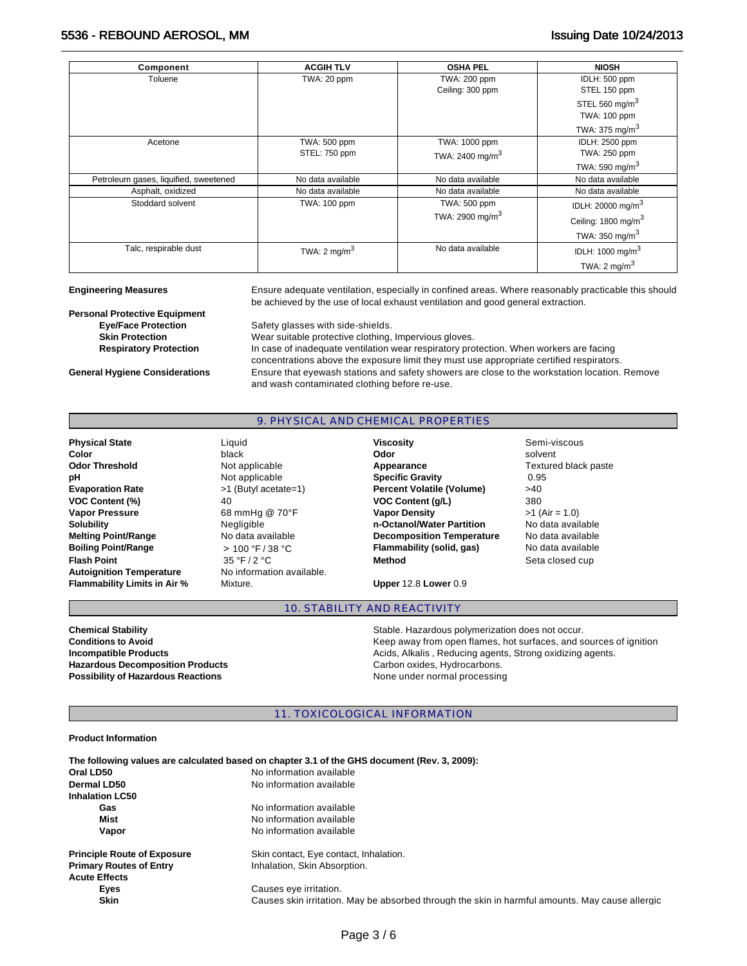# 5536 - REBOUND AEROSOL, MM Issuing Date 10/24/2013

| Component                             | <b>ACGIH TLV</b>        | <b>OSHA PEL</b>             | <b>NIOSH</b>                    |
|---------------------------------------|-------------------------|-----------------------------|---------------------------------|
| Toluene                               | TWA: 20 ppm             | TWA: 200 ppm                | IDLH: 500 ppm                   |
|                                       |                         | Ceiling: 300 ppm            | STEL 150 ppm                    |
|                                       |                         |                             | STEL 560 mg/m $3$               |
|                                       |                         |                             | TWA: 100 ppm                    |
|                                       |                         |                             | TWA: 375 mg/m $3$               |
| Acetone                               | TWA: 500 ppm            | TWA: 1000 ppm               | <b>IDLH: 2500 ppm</b>           |
|                                       | STEL: 750 ppm           | TWA: 2400 mg/m <sup>3</sup> | TWA: 250 ppm                    |
|                                       |                         |                             | TWA: 590 mg/m $3$               |
| Petroleum gases, liquified, sweetened | No data available       | No data available           | No data available               |
| Asphalt, oxidized                     | No data available       | No data available           | No data available               |
| Stoddard solvent                      | TWA: 100 ppm            | TWA: 500 ppm                | IDLH: 20000 mg/m <sup>3</sup>   |
|                                       |                         | TWA: 2900 mg/m <sup>3</sup> | Ceiling: 1800 mg/m <sup>3</sup> |
|                                       |                         |                             | TWA: $350 \text{ mg/m}^3$       |
| Talc, respirable dust                 | TWA: $2 \text{ mg/m}^3$ | No data available           | IDLH: 1000 mg/m <sup>3</sup>    |
|                                       |                         |                             | TWA: $2 \text{ mg/m}^3$         |

**Engineering Measures** Ensure adequate ventilation, especially in confined areas. Where reasonably practicable this should be achieved by the use of local exhaust ventilation and good general extraction.

**Personal Protective Equipment** 

**Eye/Face Protection** Safety glasses with side-shields. **Skin Protection <b>Skin Protection** Wear suitable protective clothing, Impervious gloves. **Respiratory Protection** In case of inadequate ventilation wear respiratory protection. When workers are facing concentrations above the exposure limit they must use appropriate certified respirators. **General Hygiene Considerations** Ensure that eyewash stations and safety showers are close to the workstation location. Remove and wash contaminated clothing before re-use.

### 9. PHYSICAL AND CHEMICAL PROPERTIES

**Physical State Contract Contract Contract Contract Contract Contract Contract Contract Contract Contract Contract Contract Contract Contract Contract Contract Contract Contract Contract Contract Contract Contract Contra Autoignition Temperature** No information available. **Flammability Limits in Air %** Mixture. **Upper** 12.8 **Lower** 0.9

**Color** black **Odor** solvent **Odor Threshold** Not applicable **Appearance** Textured black paste **pH Not applicable <b>Specific Gravity 1.95 0.95 Evaporation Rate** >1 (Butyl acetate=1) **Percent Volatile (Volume)** >40 **VOC Content (%)** 40 **VOC Content (g/L)** 380 **Vapor Pressure 68 mmHg @ 70°F <b>Vapor Density >1** (Air = 1.0) **Solubility** Negligible **n-Octanol/Water Partition** No data available **Melting Point/Range** No data available **Decomposition Temperature** No data available **Boiling Point/Range**  $\Rightarrow 100 \text{ °F} / 38 \text{ °C}$  **Flammability (solid, gas)** No data available **Flash Point CONFIDENT CONSUMER SET ASSAULT ASSAULT CONSUMER CONSUMER SETA CONSUMER SETA CONSUMER SETA CONSUMER SETA CONSUMER SETA CONSUMER SETA CONSUMER SETA CONSUMER SETA CONSUMER SETA CONSUMER SETA CONSUMER SETA CONSU** 

# 10. STABILITY AND REACTIVITY

Hazardous Decomposition Products **Carbon Carbon oxides, Hydrocarbons. Possibility of Hazardous Reactions None under normal processing** 

**Chemical Stability Stable. Hazardous polymerization does not occur.** Stable. Hazardous polymerization does not occur. **Conditions to Avoid Conditions to Avoid Keep away from open flames, hot surfaces, and sources of ignition Incompatible Products Acids, Alkalis , Reducing agents, Strong oxidizing agents.** 

11. TOXICOLOGICAL INFORMATION

#### **Product Information**

|                                    | The following values are calculated based on chapter 3.1 of the GHS document (Rev. 3, 2009):    |
|------------------------------------|-------------------------------------------------------------------------------------------------|
| Oral LD50                          | No information available                                                                        |
| Dermal LD50                        | No information available                                                                        |
| <b>Inhalation LC50</b>             |                                                                                                 |
| Gas                                | No information available                                                                        |
| Mist                               | No information available                                                                        |
| Vapor                              | No information available                                                                        |
| <b>Principle Route of Exposure</b> | Skin contact, Eye contact, Inhalation.                                                          |
| <b>Primary Routes of Entry</b>     | Inhalation, Skin Absorption.                                                                    |
| <b>Acute Effects</b>               |                                                                                                 |
| Eyes                               | Causes eye irritation.                                                                          |
| <b>Skin</b>                        | Causes skin irritation. May be absorbed through the skin in harmful amounts. May cause allergic |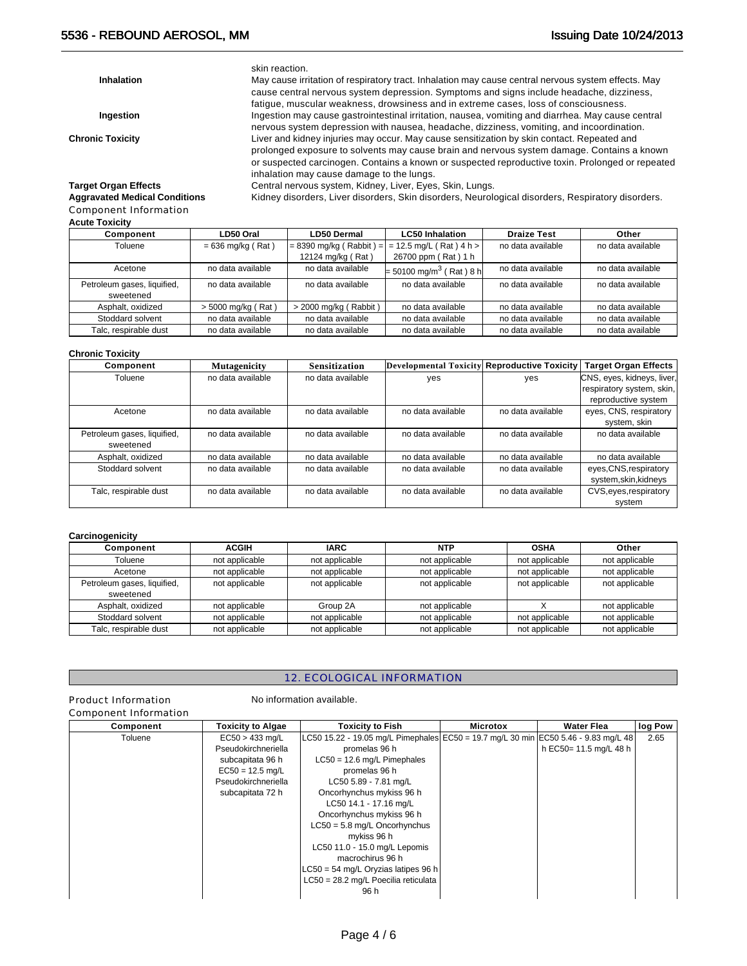skin reaction.

**Inhalation** May cause irritation of respiratory tract. Inhalation may cause central nervous system effects. May cause central nervous system depression. Symptoms and signs include headache, dizziness, fatigue, muscular weakness, drowsiness and in extreme cases, loss of consciousness. **Ingestion** Ingestion may cause gastrointestinal irritation, nausea, vomiting and diarrhea. May cause central nervous system depression with nausea, headache, dizziness, vomiting, and incoordination. **Chronic Toxicity** Liver and kidney injuries may occur. May cause sensitization by skin contact. Repeated and prolonged exposure to solvents may cause brain and nervous system damage. Contains a known or suspected carcinogen. Contains a known or suspected reproductive toxin. Prolonged or repeated inhalation may cause damage to the lungs.

Kidney disorders, Liver disorders, Skin disorders, Neurological disorders, Respiratory disorders.

**Target Organ Effects Central nervous system, Kidney, Liver, Eyes, Skin, Lungs.**<br> **Aggravated Medical Conditions** Kidney disorders, Liver disorders, Skin disorders, Neurole

Component Information

### **Acute Toxicity**

| Component                   | LD50 Oral           | LD50 Dermal               | <b>LC50 Inhalation</b>                | <b>Draize Test</b> | Other             |
|-----------------------------|---------------------|---------------------------|---------------------------------------|--------------------|-------------------|
| Toluene                     | $= 636$ mg/kg (Rat) | $= 8390$ mg/kg (Rabbit) = | $= 12.5$ mg/L (Rat) 4 h >             | no data available  | no data available |
|                             |                     | 12124 mg/kg (Rat)         | 26700 ppm (Rat) 1 h                   |                    |                   |
| Acetone                     | no data available   | no data available         | $= 50100$ mg/m <sup>3</sup> (Rat) 8 h | no data available  | no data available |
| Petroleum gases, liquified, | no data available   | no data available         | no data available                     | no data available  | no data available |
| sweetened                   |                     |                           |                                       |                    |                   |
| Asphalt, oxidized           | > 5000 mg/kg (Rat)  | > 2000 mg/kg (Rabbit)     | no data available                     | no data available  | no data available |
| Stoddard solvent            | no data available   | no data available         | no data available                     | no data available  | no data available |
| Talc, respirable dust       | no data available   | no data available         | no data available                     | no data available  | no data available |

#### **Chronic Toxicity**

| Component                   | <b>Mutagenicity</b> | <b>Sensitization</b> | Developmental Toxicity Reproductive Toxicity |                   | <b>Target Organ Effects</b> |
|-----------------------------|---------------------|----------------------|----------------------------------------------|-------------------|-----------------------------|
| Toluene                     | no data available   | no data available    | yes                                          | yes               | CNS, eyes, kidneys, liver,  |
|                             |                     |                      |                                              |                   | respiratory system, skin,   |
|                             |                     |                      |                                              |                   | reproductive system         |
| Acetone                     | no data available   | no data available    | no data available                            | no data available | eyes, CNS, respiratory      |
|                             |                     |                      |                                              |                   | system, skin                |
| Petroleum gases, liquified, | no data available   | no data available    | no data available                            | no data available | no data available           |
| sweetened                   |                     |                      |                                              |                   |                             |
| Asphalt, oxidized           | no data available   | no data available    | no data available                            | no data available | no data available           |
| Stoddard solvent            | no data available   | no data available    | no data available                            | no data available | eyes, CNS, respiratory      |
|                             |                     |                      |                                              |                   | system, skin, kidneys       |
| Talc, respirable dust       | no data available   | no data available    | no data available                            | no data available | CVS, eyes, respiratory      |
|                             |                     |                      |                                              |                   | system                      |

### **Carcinogenicity**

| Component                                | <b>ACGIH</b>   | <b>IARC</b>    | <b>NTP</b>     | <b>OSHA</b>    | Other          |
|------------------------------------------|----------------|----------------|----------------|----------------|----------------|
| Toluene                                  | not applicable | not applicable | not applicable | not applicable | not applicable |
| Acetone                                  | not applicable | not applicable | not applicable | not applicable | not applicable |
| Petroleum gases, liquified,<br>sweetened | not applicable | not applicable | not applicable | not applicable | not applicable |
| Asphalt, oxidized                        | not applicable | Group 2A       | not applicable |                | not applicable |
| Stoddard solvent                         | not applicable | not applicable | not applicable | not applicable | not applicable |
| Talc, respirable dust                    | not applicable | not applicable | not applicable | not applicable | not applicable |

# 12. ECOLOGICAL INFORMATION

# Product Information No information available. Component Information

| Component | <b>Toxicity to Algae</b> | <b>Toxicity to Fish</b>                                                             | <b>Microtox</b> | <b>Water Flea</b>      | log Pow |
|-----------|--------------------------|-------------------------------------------------------------------------------------|-----------------|------------------------|---------|
| Toluene   | $EC50 > 433$ mg/L        | LC50 15.22 - 19.05 mg/L Pimephales EC50 = 19.7 mg/L 30 min EC50 5.46 - 9.83 mg/L 48 |                 |                        | 2.65    |
|           | Pseudokirchneriella      | promelas 96 h                                                                       |                 | h EC50= 11.5 mg/L 48 h |         |
|           | subcapitata 96 h         | $LC50 = 12.6$ mg/L Pimephales                                                       |                 |                        |         |
|           | $EC50 = 12.5$ mg/L       | promelas 96 h                                                                       |                 |                        |         |
|           | Pseudokirchneriella      | LC50 5.89 - 7.81 mg/L                                                               |                 |                        |         |
|           | subcapitata 72 h         | Oncorhynchus mykiss 96 h                                                            |                 |                        |         |
|           |                          | LC50 14.1 - 17.16 mg/L                                                              |                 |                        |         |
|           |                          | Oncorhynchus mykiss 96 h                                                            |                 |                        |         |
|           |                          | $LC50 = 5.8$ mg/L Oncorhynchus                                                      |                 |                        |         |
|           |                          | mykiss 96 h                                                                         |                 |                        |         |
|           |                          | LC50 11.0 - 15.0 mg/L Lepomis                                                       |                 |                        |         |
|           |                          | macrochirus 96 h                                                                    |                 |                        |         |
|           |                          | $LC50 = 54$ mg/L Oryzias latipes 96 h                                               |                 |                        |         |
|           |                          | LC50 = 28.2 mg/L Poecilia reticulata                                                |                 |                        |         |
|           |                          | 96 h                                                                                |                 |                        |         |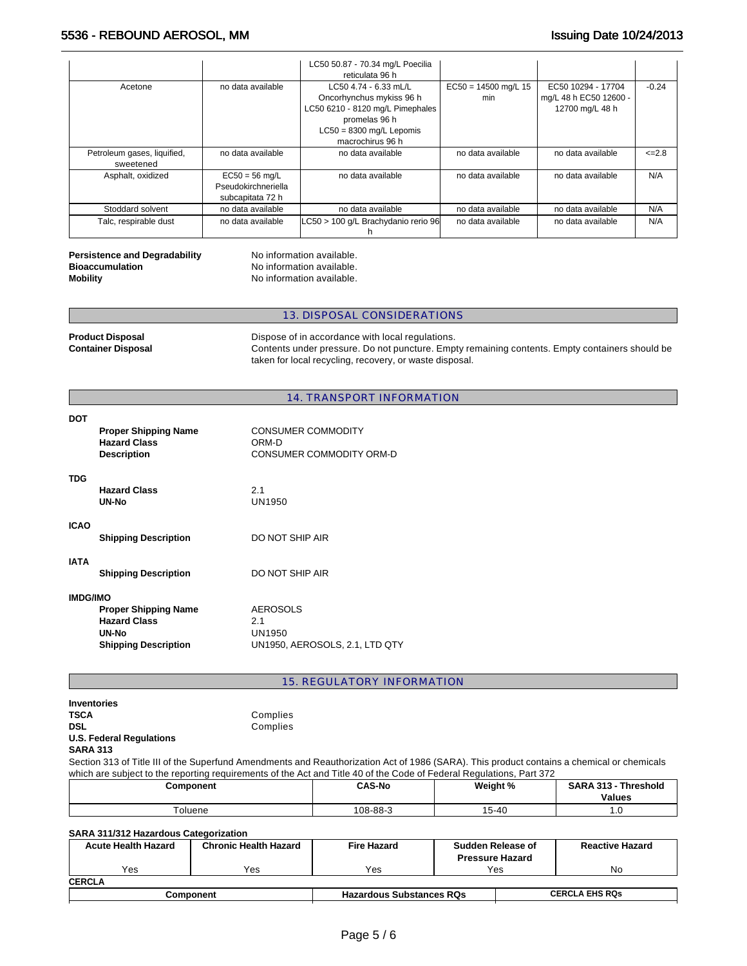|                             |                                            | LC50 50.87 - 70.34 mg/L Poecilia    |                        |                        |             |
|-----------------------------|--------------------------------------------|-------------------------------------|------------------------|------------------------|-------------|
|                             | reticulata 96 h                            |                                     |                        |                        |             |
| Acetone                     | no data available<br>LC50 4.74 - 6.33 mL/L |                                     | $EC50 = 14500$ mg/L 15 | EC50 10294 - 17704     | $-0.24$     |
|                             |                                            | Oncorhynchus mykiss 96 h            | min                    | mg/L 48 h EC50 12600 - |             |
|                             |                                            | LC50 6210 - 8120 mg/L Pimephales    |                        | 12700 mg/L 48 h        |             |
|                             |                                            | promelas 96 h                       |                        |                        |             |
|                             |                                            | $LC50 = 8300$ mg/L Lepomis          |                        |                        |             |
|                             |                                            | macrochirus 96 h                    |                        |                        |             |
| Petroleum gases, liquified, | no data available                          | no data available                   | no data available      | no data available      | $\leq$ -2.8 |
| sweetened                   |                                            |                                     |                        |                        |             |
| Asphalt, oxidized           | $EC50 = 56$ mg/L                           | no data available                   | no data available      | no data available      | N/A         |
|                             | Pseudokirchneriella                        |                                     |                        |                        |             |
|                             | subcapitata 72 h                           |                                     |                        |                        |             |
| Stoddard solvent            | no data available                          | no data available                   | no data available      | no data available      | N/A         |
| Talc, respirable dust       | no data available                          | LC50 > 100 g/L Brachydanio rerio 96 | no data available      | no data available      | N/A         |

#### **Persistence and Degradability No information available. Bioaccumulation No information available. Mobility Mobility No information available.**

# 13. DISPOSAL CONSIDERATIONS

**Product Disposal <b>Product Disposal Dispose of in accordance with local regulations.**<br> **Contents under pressure.** Do not puncture. Emp Contents under pressure. Do not puncture. Empty remaining contents. Empty containers should be taken for local recycling, recovery, or waste disposal.

# 14. TRANSPORT INFORMATION

| <b>DOT</b>      | <b>Proper Shipping Name</b><br><b>Hazard Class</b><br><b>Description</b>                   | <b>CONSUMER COMMODITY</b><br>ORM-D<br>CONSUMER COMMODITY ORM-D     |
|-----------------|--------------------------------------------------------------------------------------------|--------------------------------------------------------------------|
| <b>TDG</b>      | <b>Hazard Class</b><br>UN-No                                                               | 2.1<br>UN1950                                                      |
| <b>ICAO</b>     | <b>Shipping Description</b>                                                                | DO NOT SHIP AIR                                                    |
| <b>IATA</b>     | <b>Shipping Description</b>                                                                | DO NOT SHIP AIR                                                    |
| <b>IMDG/IMO</b> | <b>Proper Shipping Name</b><br><b>Hazard Class</b><br>UN-No<br><b>Shipping Description</b> | <b>AEROSOLS</b><br>2.1<br>UN1950<br>UN1950, AEROSOLS, 2.1, LTD QTY |

## 15. REGULATORY INFORMATION

| Inventories                     |          |
|---------------------------------|----------|
| TSCA                            | Complies |
| DSL                             | Complies |
| <b>U.S. Federal Regulations</b> |          |

# **SARA 313**

Section 313 of Title III of the Superfund Amendments and Reauthorization Act of 1986 (SARA). This product contains a chemical or chemicals which are subject to the reporting requirements of the Act and Title 40 of the Code of Federal Regulations, Part 372

| Component<br>$\sim$ $\sim$ | <b>CAS-No</b> | Weight % | <b>SARA 313</b><br><b>Threshold</b><br><b>Values</b> |
|----------------------------|---------------|----------|------------------------------------------------------|
| oluene                     | 108-88-3      | 15-40    | 1.U                                                  |

# **SARA 311/312 Hazardous Categorization**

| <b>Acute Health Hazard</b> | <b>Chronic Health Hazard</b> | <b>Fire Hazard</b>              | Sudden Release of<br><b>Pressure Hazard</b> |                       | <b>Reactive Hazard</b> |
|----------------------------|------------------------------|---------------------------------|---------------------------------------------|-----------------------|------------------------|
| Yes                        | Yes                          | Yes                             | Yes                                         |                       | No                     |
| <b>CERCLA</b>              |                              |                                 |                                             |                       |                        |
| Component                  |                              | <b>Hazardous Substances RQs</b> |                                             | <b>CERCLA EHS RQS</b> |                        |